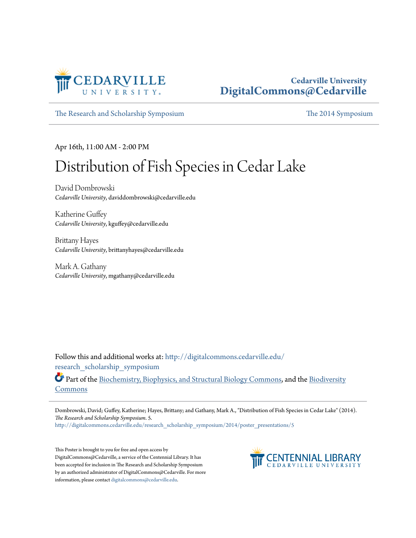

### **Cedarville University [DigitalCommons@Cedarville](http://digitalcommons.cedarville.edu?utm_source=digitalcommons.cedarville.edu%2Fresearch_scholarship_symposium%2F2014%2Fposter_presentations%2F5&utm_medium=PDF&utm_campaign=PDFCoverPages)**

[The Research and Scholarship Symposium](http://digitalcommons.cedarville.edu/research_scholarship_symposium?utm_source=digitalcommons.cedarville.edu%2Fresearch_scholarship_symposium%2F2014%2Fposter_presentations%2F5&utm_medium=PDF&utm_campaign=PDFCoverPages) [The 2014 Symposium](http://digitalcommons.cedarville.edu/research_scholarship_symposium/2014?utm_source=digitalcommons.cedarville.edu%2Fresearch_scholarship_symposium%2F2014%2Fposter_presentations%2F5&utm_medium=PDF&utm_campaign=PDFCoverPages)

Apr 16th, 11:00 AM - 2:00 PM

### Distribution of Fish Species in Cedar Lake

David Dombrowski *Cedarville University*, daviddombrowski@cedarville.edu

Katherine Guffey *Cedarville University*, kguffey@cedarville.edu

Brittany Hayes *Cedarville University*, brittanyhayes@cedarville.edu

Mark A. Gathany *Cedarville University*, mgathany@cedarville.edu

Follow this and additional works at: [http://digitalcommons.cedarville.edu/](http://digitalcommons.cedarville.edu/research_scholarship_symposium?utm_source=digitalcommons.cedarville.edu%2Fresearch_scholarship_symposium%2F2014%2Fposter_presentations%2F5&utm_medium=PDF&utm_campaign=PDFCoverPages) [research\\_scholarship\\_symposium](http://digitalcommons.cedarville.edu/research_scholarship_symposium?utm_source=digitalcommons.cedarville.edu%2Fresearch_scholarship_symposium%2F2014%2Fposter_presentations%2F5&utm_medium=PDF&utm_campaign=PDFCoverPages)

Part of the [Biochemistry, Biophysics, and Structural Biology Commons](http://network.bepress.com/hgg/discipline/1?utm_source=digitalcommons.cedarville.edu%2Fresearch_scholarship_symposium%2F2014%2Fposter_presentations%2F5&utm_medium=PDF&utm_campaign=PDFCoverPages), and the [Biodiversity](http://network.bepress.com/hgg/discipline/1127?utm_source=digitalcommons.cedarville.edu%2Fresearch_scholarship_symposium%2F2014%2Fposter_presentations%2F5&utm_medium=PDF&utm_campaign=PDFCoverPages) [Commons](http://network.bepress.com/hgg/discipline/1127?utm_source=digitalcommons.cedarville.edu%2Fresearch_scholarship_symposium%2F2014%2Fposter_presentations%2F5&utm_medium=PDF&utm_campaign=PDFCoverPages)

Dombrowski, David; Guffey, Katherine; Hayes, Brittany; and Gathany, Mark A., "Distribution of Fish Species in Cedar Lake" (2014). *The Research and Scholarship Symposium*. 5.

[http://digitalcommons.cedarville.edu/research\\_scholarship\\_symposium/2014/poster\\_presentations/5](http://digitalcommons.cedarville.edu/research_scholarship_symposium/2014/poster_presentations/5?utm_source=digitalcommons.cedarville.edu%2Fresearch_scholarship_symposium%2F2014%2Fposter_presentations%2F5&utm_medium=PDF&utm_campaign=PDFCoverPages)

This Poster is brought to you for free and open access by DigitalCommons@Cedarville, a service of the Centennial Library. It has been accepted for inclusion in The Research and Scholarship Symposium by an authorized administrator of DigitalCommons@Cedarville. For more information, please contact [digitalcommons@cedarville.edu.](mailto:digitalcommons@cedarville.edu)